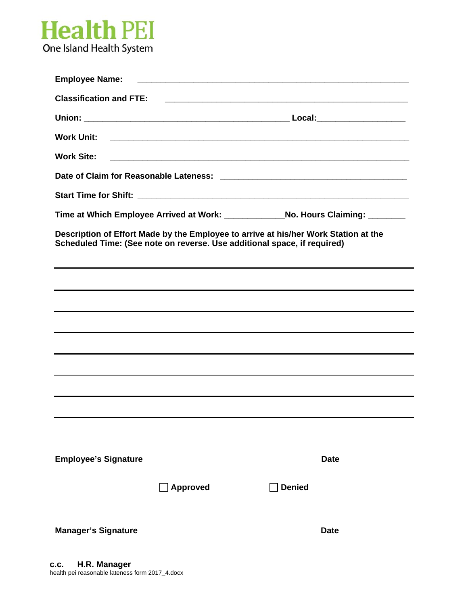

| <b>Employee Name:</b>                                                                                                                                           |                 |               |                                                                                                                       |
|-----------------------------------------------------------------------------------------------------------------------------------------------------------------|-----------------|---------------|-----------------------------------------------------------------------------------------------------------------------|
| <b>Classification and FTE:</b>                                                                                                                                  |                 |               | <u> 1989 - Johann Stoff, deutscher Stoff, der Stoff, der Stoff, der Stoff, der Stoff, der Stoff, der Stoff, der S</u> |
|                                                                                                                                                                 |                 |               |                                                                                                                       |
| <b>Work Unit:</b>                                                                                                                                               |                 |               |                                                                                                                       |
| <b>Work Site:</b>                                                                                                                                               |                 |               |                                                                                                                       |
|                                                                                                                                                                 |                 |               |                                                                                                                       |
|                                                                                                                                                                 |                 |               |                                                                                                                       |
| Time at Which Employee Arrived at Work: _______________No. Hours Claiming: ________                                                                             |                 |               |                                                                                                                       |
| Description of Effort Made by the Employee to arrive at his/her Work Station at the<br>Scheduled Time: (See note on reverse. Use additional space, if required) |                 |               |                                                                                                                       |
|                                                                                                                                                                 |                 |               |                                                                                                                       |
|                                                                                                                                                                 |                 |               |                                                                                                                       |
|                                                                                                                                                                 |                 |               |                                                                                                                       |
|                                                                                                                                                                 |                 |               |                                                                                                                       |
|                                                                                                                                                                 |                 |               |                                                                                                                       |
|                                                                                                                                                                 |                 |               |                                                                                                                       |
|                                                                                                                                                                 |                 |               |                                                                                                                       |
|                                                                                                                                                                 |                 |               |                                                                                                                       |
|                                                                                                                                                                 |                 |               |                                                                                                                       |
|                                                                                                                                                                 |                 |               |                                                                                                                       |
| <b>Employee's Signature</b>                                                                                                                                     |                 |               | <b>Date</b>                                                                                                           |
|                                                                                                                                                                 | <b>Approved</b> | <b>Denied</b> |                                                                                                                       |
|                                                                                                                                                                 |                 |               |                                                                                                                       |
| <b>Manager's Signature</b>                                                                                                                                      |                 |               | <b>Date</b>                                                                                                           |

-